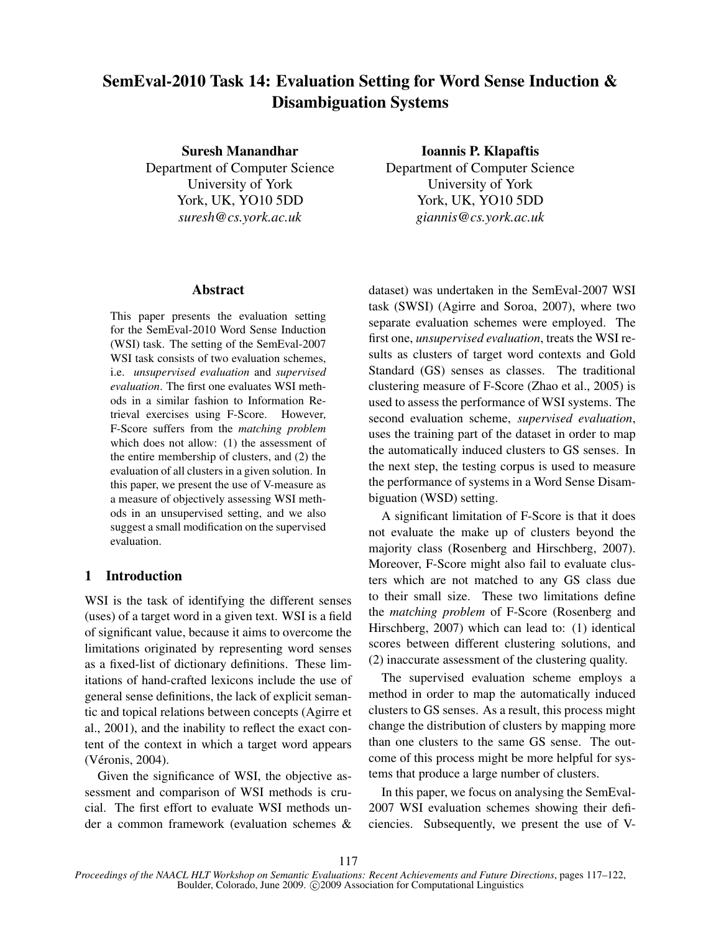# SemEval-2010 Task 14: Evaluation Setting for Word Sense Induction & Disambiguation Systems

Suresh Manandhar Department of Computer Science University of York York, UK, YO10 5DD *suresh@cs.york.ac.uk*

#### Abstract

This paper presents the evaluation setting for the SemEval-2010 Word Sense Induction (WSI) task. The setting of the SemEval-2007 WSI task consists of two evaluation schemes, i.e. *unsupervised evaluation* and *supervised evaluation*. The first one evaluates WSI methods in a similar fashion to Information Retrieval exercises using F-Score. However, F-Score suffers from the *matching problem* which does not allow: (1) the assessment of the entire membership of clusters, and (2) the evaluation of all clusters in a given solution. In this paper, we present the use of V-measure as a measure of objectively assessing WSI methods in an unsupervised setting, and we also suggest a small modification on the supervised evaluation.

# 1 Introduction

WSI is the task of identifying the different senses (uses) of a target word in a given text. WSI is a field of significant value, because it aims to overcome the limitations originated by representing word senses as a fixed-list of dictionary definitions. These limitations of hand-crafted lexicons include the use of general sense definitions, the lack of explicit semantic and topical relations between concepts (Agirre et al., 2001), and the inability to reflect the exact content of the context in which a target word appears (Véronis, 2004).

Given the significance of WSI, the objective assessment and comparison of WSI methods is crucial. The first effort to evaluate WSI methods under a common framework (evaluation schemes &

Ioannis P. Klapaftis Department of Computer Science University of York York, UK, YO10 5DD *giannis@cs.york.ac.uk*

dataset) was undertaken in the SemEval-2007 WSI task (SWSI) (Agirre and Soroa, 2007), where two separate evaluation schemes were employed. The first one, *unsupervised evaluation*, treats the WSI results as clusters of target word contexts and Gold Standard (GS) senses as classes. The traditional clustering measure of F-Score (Zhao et al., 2005) is used to assess the performance of WSI systems. The second evaluation scheme, *supervised evaluation*, uses the training part of the dataset in order to map the automatically induced clusters to GS senses. In the next step, the testing corpus is used to measure the performance of systems in a Word Sense Disambiguation (WSD) setting.

A significant limitation of F-Score is that it does not evaluate the make up of clusters beyond the majority class (Rosenberg and Hirschberg, 2007). Moreover, F-Score might also fail to evaluate clusters which are not matched to any GS class due to their small size. These two limitations define the *matching problem* of F-Score (Rosenberg and Hirschberg, 2007) which can lead to: (1) identical scores between different clustering solutions, and (2) inaccurate assessment of the clustering quality.

The supervised evaluation scheme employs a method in order to map the automatically induced clusters to GS senses. As a result, this process might change the distribution of clusters by mapping more than one clusters to the same GS sense. The outcome of this process might be more helpful for systems that produce a large number of clusters.

In this paper, we focus on analysing the SemEval-2007 WSI evaluation schemes showing their deficiencies. Subsequently, we present the use of V-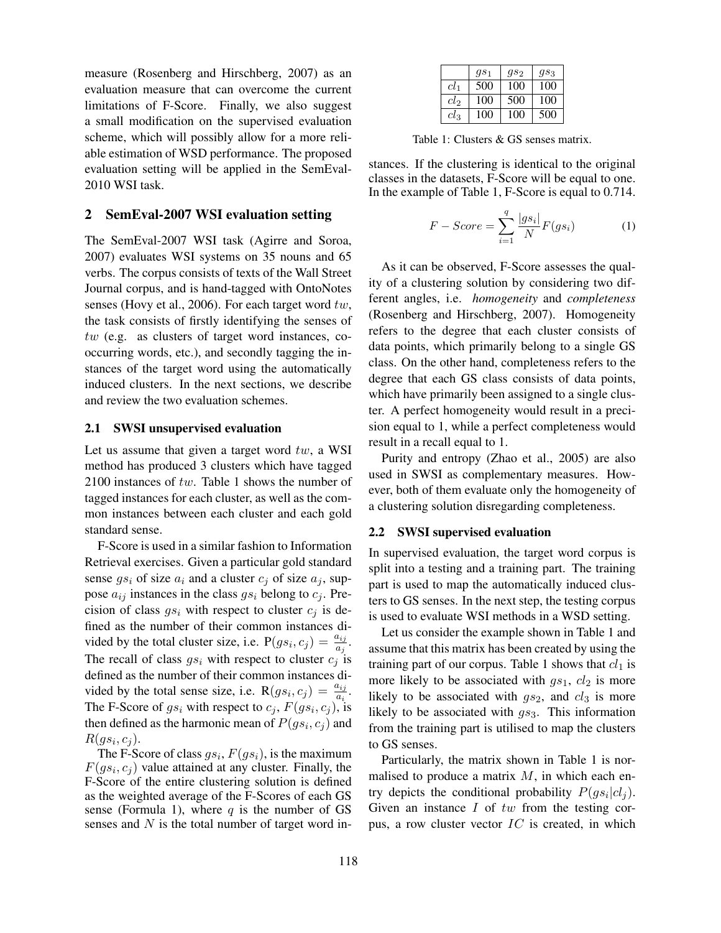measure (Rosenberg and Hirschberg, 2007) as an evaluation measure that can overcome the current limitations of F-Score. Finally, we also suggest a small modification on the supervised evaluation scheme, which will possibly allow for a more reliable estimation of WSD performance. The proposed evaluation setting will be applied in the SemEval-2010 WSI task.

## 2 SemEval-2007 WSI evaluation setting

The SemEval-2007 WSI task (Agirre and Soroa, 2007) evaluates WSI systems on 35 nouns and 65 verbs. The corpus consists of texts of the Wall Street Journal corpus, and is hand-tagged with OntoNotes senses (Hovy et al., 2006). For each target word tw, the task consists of firstly identifying the senses of tw (e.g. as clusters of target word instances, cooccurring words, etc.), and secondly tagging the instances of the target word using the automatically induced clusters. In the next sections, we describe and review the two evaluation schemes.

#### 2.1 SWSI unsupervised evaluation

Let us assume that given a target word  $tw$ , a WSI method has produced 3 clusters which have tagged 2100 instances of  $tw$ . Table 1 shows the number of tagged instances for each cluster, as well as the common instances between each cluster and each gold standard sense.

F-Score is used in a similar fashion to Information Retrieval exercises. Given a particular gold standard sense  $gs_i$  of size  $a_i$  and a cluster  $c_j$  of size  $a_j$ , suppose  $a_{ij}$  instances in the class  $gs_i$  belong to  $c_j$ . Precision of class  $qs_i$  with respect to cluster  $c_i$  is defined as the number of their common instances divided by the total cluster size, i.e.  $P(gs_i, c_j) = \frac{a_{ij}}{a_j}$ . The recall of class  $gs_i$  with respect to cluster  $c_j$  is defined as the number of their common instances divided by the total sense size, i.e.  $R(gs_i, c_j) = \frac{a_{ij}}{a_i}$ . The F-Score of  $gs_i$  with respect to  $c_j$ ,  $F(gs_i, c_j)$ , is then defined as the harmonic mean of  $P(gs_i, c_j)$  and  $R(gs_i, c_j)$ .

The F-Score of class  $gs_i$ ,  $F(gs_i)$ , is the maximum  $F(gs_i, c_j)$  value attained at any cluster. Finally, the F-Score of the entire clustering solution is defined as the weighted average of the F-Scores of each GS sense (Formula 1), where  $q$  is the number of GS senses and  $N$  is the total number of target word in-

|        | $q_{s_1}$ | gs <sub>2</sub> | gs <sub>3</sub> |
|--------|-----------|-----------------|-----------------|
| $cl_1$ | 500       | 100             | 100             |
| $cl_2$ | 100       | 500             | 100             |
| $cl_3$ | 100       | 100             | 500             |

Table 1: Clusters & GS senses matrix.

stances. If the clustering is identical to the original classes in the datasets, F-Score will be equal to one. In the example of Table 1, F-Score is equal to 0.714.

$$
F - Score = \sum_{i=1}^{q} \frac{|gs_i|}{N} F(gs_i)
$$
 (1)

As it can be observed, F-Score assesses the quality of a clustering solution by considering two different angles, i.e. *homogeneity* and *completeness* (Rosenberg and Hirschberg, 2007). Homogeneity refers to the degree that each cluster consists of data points, which primarily belong to a single GS class. On the other hand, completeness refers to the degree that each GS class consists of data points, which have primarily been assigned to a single cluster. A perfect homogeneity would result in a precision equal to 1, while a perfect completeness would result in a recall equal to 1.

Purity and entropy (Zhao et al., 2005) are also used in SWSI as complementary measures. However, both of them evaluate only the homogeneity of a clustering solution disregarding completeness.

## 2.2 SWSI supervised evaluation

In supervised evaluation, the target word corpus is split into a testing and a training part. The training part is used to map the automatically induced clusters to GS senses. In the next step, the testing corpus is used to evaluate WSI methods in a WSD setting.

Let us consider the example shown in Table 1 and assume that this matrix has been created by using the training part of our corpus. Table 1 shows that  $cl_1$  is more likely to be associated with  $gs_1$ ,  $cl_2$  is more likely to be associated with  $gs_2$ , and  $cls_3$  is more likely to be associated with  $q_{s3}$ . This information from the training part is utilised to map the clusters to GS senses.

Particularly, the matrix shown in Table 1 is normalised to produce a matrix  $M$ , in which each entry depicts the conditional probability  $P(gs_i|cl_j)$ . Given an instance  $I$  of  $tw$  from the testing corpus, a row cluster vector  $IC$  is created, in which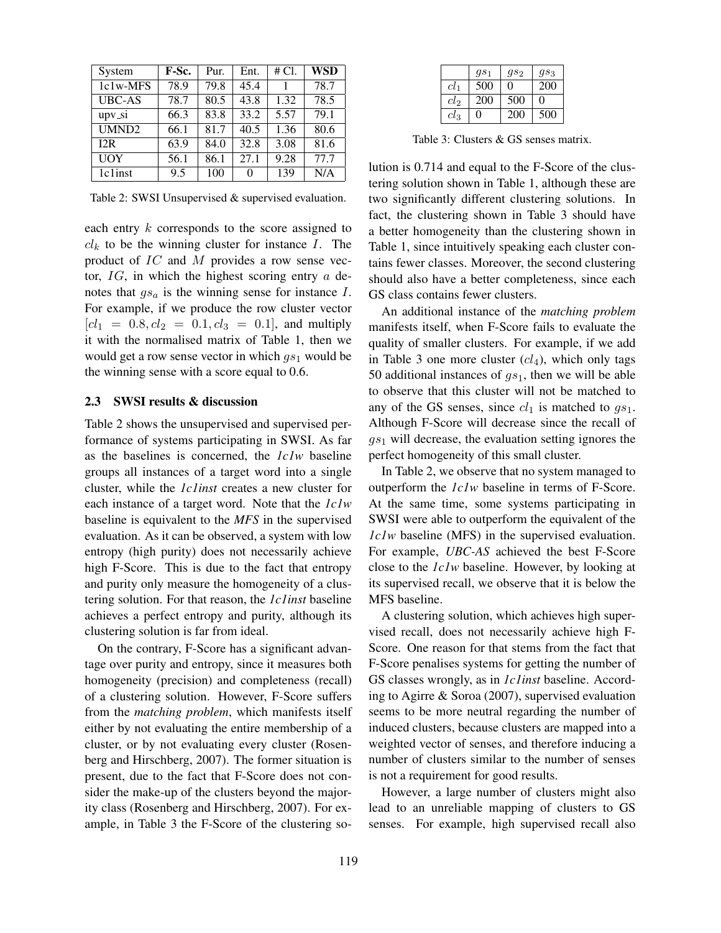| System               | F-Sc. | Pur. | Ent.              | #Cl. | <b>WSD</b> |
|----------------------|-------|------|-------------------|------|------------|
| 1c1w-MFS             | 78.9  | 79.8 | 45.4              |      | 78.7       |
| <b>UBC-AS</b>        | 78.7  | 80.5 | 43.8              | 1.32 | 78.5       |
| $upv$ <sub>-si</sub> | 66.3  | 83.8 | 33.2              | 5.57 | 79.1       |
| UMND <sub>2</sub>    | 66.1  | 81.7 | 40.5              | 1.36 | 80.6       |
| 12R                  | 63.9  | 84.0 | 32.8              | 3.08 | 81.6       |
| <b>UOY</b>           | 56.1  | 86.1 | 27.1              | 9.28 | 77.7       |
| 1c1inst              | 9.5   | 100  | $\mathbf{\Omega}$ | 139  | N/A        |

Table 2: SWSI Unsupervised & supervised evaluation.

each entry k corresponds to the score assigned to  $cl_k$  to be the winning cluster for instance I. The product of IC and M provides a row sense vector,  $IG$ , in which the highest scoring entry  $a$  denotes that  $gs_a$  is the winning sense for instance I. For example, if we produce the row cluster vector  $[cl_1 = 0.8, cl_2 = 0.1, cl_3 = 0.1]$ , and multiply it with the normalised matrix of Table 1, then we would get a row sense vector in which  $gs_1$  would be the winning sense with a score equal to 0.6.

## 2.3 SWSI results & discussion

Table 2 shows the unsupervised and supervised performance of systems participating in SWSI. As far as the baselines is concerned, the *1c1w* baseline groups all instances of a target word into a single cluster, while the *1c1inst* creates a new cluster for each instance of a target word. Note that the *1c1w* baseline is equivalent to the *MFS* in the supervised evaluation. As it can be observed, a system with low entropy (high purity) does not necessarily achieve high F-Score. This is due to the fact that entropy and purity only measure the homogeneity of a clustering solution. For that reason, the *1c1inst* baseline achieves a perfect entropy and purity, although its clustering solution is far from ideal.

On the contrary, F-Score has a significant advantage over purity and entropy, since it measures both homogeneity (precision) and completeness (recall) of a clustering solution. However, F-Score suffers from the *matching problem*, which manifests itself either by not evaluating the entire membership of a cluster, or by not evaluating every cluster (Rosenberg and Hirschberg, 2007). The former situation is present, due to the fact that F-Score does not consider the make-up of the clusters beyond the majority class (Rosenberg and Hirschberg, 2007). For example, in Table 3 the F-Score of the clustering so-

|                 | $gs_1$   | gs <sub>2</sub> | gs <sub>3</sub> |
|-----------------|----------|-----------------|-----------------|
| cl <sub>1</sub> | 500      | $\mathbf{0}$    | 200             |
| cl <sub>2</sub> | 200      | 500             | $\mathbf{0}$    |
| $cl_3$          | $\Omega$ | 200             | 500             |

Table 3: Clusters & GS senses matrix.

lution is 0.714 and equal to the F-Score of the clustering solution shown in Table 1, although these are two significantly different clustering solutions. In fact, the clustering shown in Table 3 should have a better homogeneity than the clustering shown in Table 1, since intuitively speaking each cluster contains fewer classes. Moreover, the second clustering should also have a better completeness, since each GS class contains fewer clusters.

An additional instance of the *matching problem* manifests itself, when F-Score fails to evaluate the quality of smaller clusters. For example, if we add in Table 3 one more cluster  $(cl<sub>4</sub>)$ , which only tags 50 additional instances of  $gs_1$ , then we will be able to observe that this cluster will not be matched to any of the GS senses, since  $cl_1$  is matched to  $gs_1$ . Although F-Score will decrease since the recall of  $gs<sub>1</sub>$  will decrease, the evaluation setting ignores the perfect homogeneity of this small cluster.

In Table 2, we observe that no system managed to outperform the *1c1w* baseline in terms of F-Score. At the same time, some systems participating in SWSI were able to outperform the equivalent of the *1c1w* baseline (MFS) in the supervised evaluation. For example, *UBC-AS* achieved the best F-Score close to the *1c1w* baseline. However, by looking at its supervised recall, we observe that it is below the MFS baseline.

A clustering solution, which achieves high supervised recall, does not necessarily achieve high F-Score. One reason for that stems from the fact that F-Score penalises systems for getting the number of GS classes wrongly, as in *1c1inst* baseline. According to Agirre & Soroa (2007), supervised evaluation seems to be more neutral regarding the number of induced clusters, because clusters are mapped into a weighted vector of senses, and therefore inducing a number of clusters similar to the number of senses is not a requirement for good results.

However, a large number of clusters might also lead to an unreliable mapping of clusters to GS senses. For example, high supervised recall also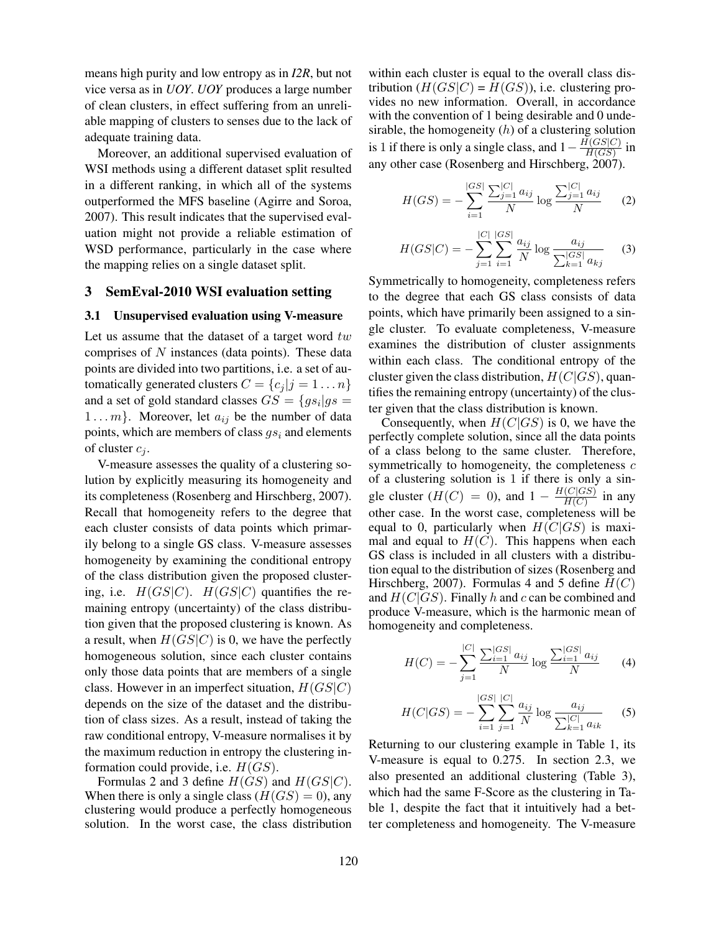means high purity and low entropy as in *I2R*, but not vice versa as in *UOY*. *UOY* produces a large number of clean clusters, in effect suffering from an unreliable mapping of clusters to senses due to the lack of adequate training data.

Moreover, an additional supervised evaluation of WSI methods using a different dataset split resulted in a different ranking, in which all of the systems outperformed the MFS baseline (Agirre and Soroa, 2007). This result indicates that the supervised evaluation might not provide a reliable estimation of WSD performance, particularly in the case where the mapping relies on a single dataset split.

## 3 SemEval-2010 WSI evaluation setting

#### 3.1 Unsupervised evaluation using V-measure

Let us assume that the dataset of a target word  $tw$ comprises of  $N$  instances (data points). These data points are divided into two partitions, i.e. a set of automatically generated clusters  $C = \{c_i | j = 1 \dots n\}$ and a set of gold standard classes  $GS = \{gs_i|gs = \}$  $1 \ldots m$ . Moreover, let  $a_{ij}$  be the number of data points, which are members of class  $gs_i$  and elements of cluster  $c_i$ .

V-measure assesses the quality of a clustering solution by explicitly measuring its homogeneity and its completeness (Rosenberg and Hirschberg, 2007). Recall that homogeneity refers to the degree that each cluster consists of data points which primarily belong to a single GS class. V-measure assesses homogeneity by examining the conditional entropy of the class distribution given the proposed clustering, i.e.  $H(GS|C)$ .  $H(GS|C)$  quantifies the remaining entropy (uncertainty) of the class distribution given that the proposed clustering is known. As a result, when  $H(GS|C)$  is 0, we have the perfectly homogeneous solution, since each cluster contains only those data points that are members of a single class. However in an imperfect situation,  $H(GS|C)$ depends on the size of the dataset and the distribution of class sizes. As a result, instead of taking the raw conditional entropy, V-measure normalises it by the maximum reduction in entropy the clustering information could provide, i.e.  $H(GS)$ .

Formulas 2 and 3 define  $H(GS)$  and  $H(GS|C)$ . When there is only a single class  $(H(GS) = 0)$ , any clustering would produce a perfectly homogeneous solution. In the worst case, the class distribution

within each cluster is equal to the overall class distribution  $(H(GS|C) = H(GS))$ , i.e. clustering provides no new information. Overall, in accordance with the convention of 1 being desirable and 0 undesirable, the homogeneity  $(h)$  of a clustering solution is 1 if there is only a single class, and  $1 - \frac{H(GS|C)}{H(GS)}$  in any other case (Rosenberg and Hirschberg, 2007).

$$
H(GS) = -\sum_{i=1}^{|GS|} \frac{\sum_{j=1}^{|C|} a_{ij}}{N} \log \frac{\sum_{j=1}^{|C|} a_{ij}}{N}
$$
 (2)

$$
H(GS|C) = -\sum_{j=1}^{|C|} \sum_{i=1}^{|GS|} \frac{a_{ij}}{N} \log \frac{a_{ij}}{\sum_{k=1}^{|GS|} a_{kj}} \qquad (3)
$$

Symmetrically to homogeneity, completeness refers to the degree that each GS class consists of data points, which have primarily been assigned to a single cluster. To evaluate completeness, V-measure examines the distribution of cluster assignments within each class. The conditional entropy of the cluster given the class distribution,  $H(C|GS)$ , quantifies the remaining entropy (uncertainty) of the cluster given that the class distribution is known.

Consequently, when  $H(C|GS)$  is 0, we have the perfectly complete solution, since all the data points of a class belong to the same cluster. Therefore, symmetrically to homogeneity, the completeness  $c$ of a clustering solution is 1 if there is only a single cluster ( $H(C) = 0$ ), and  $1 - \frac{H(C|GS)}{H(C)}$  in any other case. In the worst case, completeness will be equal to 0, particularly when  $H(C|GS)$  is maximal and equal to  $H(C)$ . This happens when each GS class is included in all clusters with a distribution equal to the distribution of sizes (Rosenberg and Hirschberg, 2007). Formulas 4 and 5 define  $H(C)$ and  $H(C|GS)$ . Finally h and c can be combined and produce V-measure, which is the harmonic mean of homogeneity and completeness.

$$
H(C) = -\sum_{j=1}^{|C|} \frac{\sum_{i=1}^{|GS|} a_{ij}}{N} \log \frac{\sum_{i=1}^{|GS|} a_{ij}}{N}
$$
 (4)

$$
H(C|GS) = -\sum_{i=1}^{|GS|} \sum_{j=1}^{|C|} \frac{a_{ij}}{N} \log \frac{a_{ij}}{\sum_{k=1}^{|C|} a_{ik}} \qquad (5)
$$

Returning to our clustering example in Table 1, its V-measure is equal to 0.275. In section 2.3, we also presented an additional clustering (Table 3), which had the same F-Score as the clustering in Table 1, despite the fact that it intuitively had a better completeness and homogeneity. The V-measure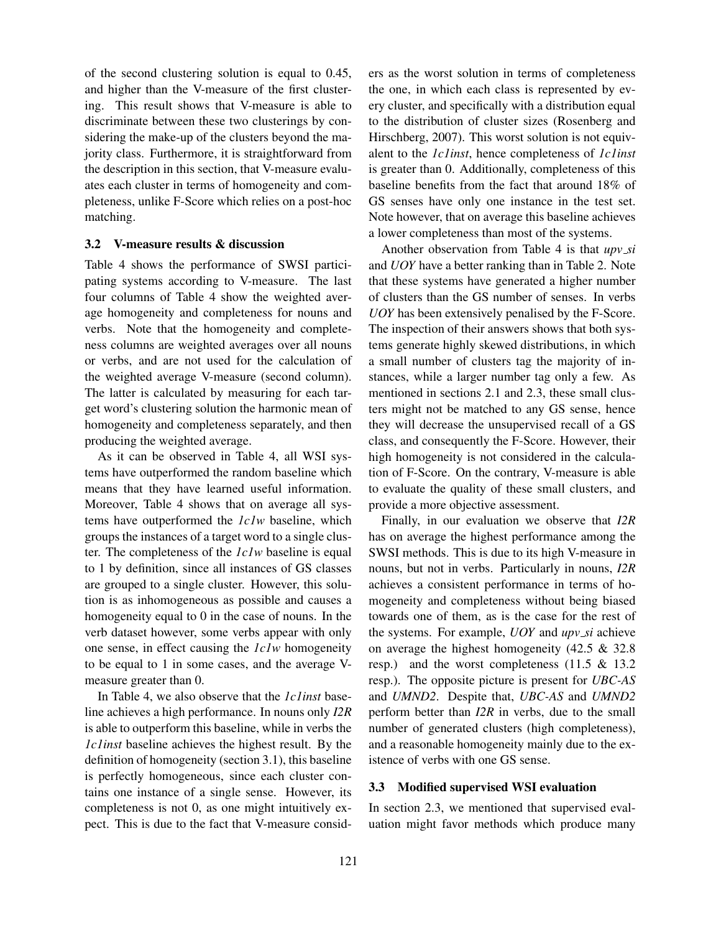of the second clustering solution is equal to 0.45, and higher than the V-measure of the first clustering. This result shows that V-measure is able to discriminate between these two clusterings by considering the make-up of the clusters beyond the majority class. Furthermore, it is straightforward from the description in this section, that V-measure evaluates each cluster in terms of homogeneity and completeness, unlike F-Score which relies on a post-hoc matching.

#### 3.2 V-measure results & discussion

Table 4 shows the performance of SWSI participating systems according to V-measure. The last four columns of Table 4 show the weighted average homogeneity and completeness for nouns and verbs. Note that the homogeneity and completeness columns are weighted averages over all nouns or verbs, and are not used for the calculation of the weighted average V-measure (second column). The latter is calculated by measuring for each target word's clustering solution the harmonic mean of homogeneity and completeness separately, and then producing the weighted average.

As it can be observed in Table 4, all WSI systems have outperformed the random baseline which means that they have learned useful information. Moreover, Table 4 shows that on average all systems have outperformed the *1c1w* baseline, which groups the instances of a target word to a single cluster. The completeness of the *1c1w* baseline is equal to 1 by definition, since all instances of GS classes are grouped to a single cluster. However, this solution is as inhomogeneous as possible and causes a homogeneity equal to 0 in the case of nouns. In the verb dataset however, some verbs appear with only one sense, in effect causing the *1c1w* homogeneity to be equal to 1 in some cases, and the average Vmeasure greater than 0.

In Table 4, we also observe that the *1c1inst* baseline achieves a high performance. In nouns only *I2R* is able to outperform this baseline, while in verbs the *1c1inst* baseline achieves the highest result. By the definition of homogeneity (section 3.1), this baseline is perfectly homogeneous, since each cluster contains one instance of a single sense. However, its completeness is not 0, as one might intuitively expect. This is due to the fact that V-measure considers as the worst solution in terms of completeness the one, in which each class is represented by every cluster, and specifically with a distribution equal to the distribution of cluster sizes (Rosenberg and Hirschberg, 2007). This worst solution is not equivalent to the *1c1inst*, hence completeness of *1c1inst* is greater than 0. Additionally, completeness of this baseline benefits from the fact that around 18% of GS senses have only one instance in the test set. Note however, that on average this baseline achieves a lower completeness than most of the systems.

Another observation from Table 4 is that *upv si* and *UOY* have a better ranking than in Table 2. Note that these systems have generated a higher number of clusters than the GS number of senses. In verbs *UOY* has been extensively penalised by the F-Score. The inspection of their answers shows that both systems generate highly skewed distributions, in which a small number of clusters tag the majority of instances, while a larger number tag only a few. As mentioned in sections 2.1 and 2.3, these small clusters might not be matched to any GS sense, hence they will decrease the unsupervised recall of a GS class, and consequently the F-Score. However, their high homogeneity is not considered in the calculation of F-Score. On the contrary, V-measure is able to evaluate the quality of these small clusters, and provide a more objective assessment.

Finally, in our evaluation we observe that *I2R* has on average the highest performance among the SWSI methods. This is due to its high V-measure in nouns, but not in verbs. Particularly in nouns, *I2R* achieves a consistent performance in terms of homogeneity and completeness without being biased towards one of them, as is the case for the rest of the systems. For example, *UOY* and *upv si* achieve on average the highest homogeneity (42.5 & 32.8 resp.) and the worst completeness (11.5 & 13.2 resp.). The opposite picture is present for *UBC-AS* and *UMND2*. Despite that, *UBC-AS* and *UMND2* perform better than *I2R* in verbs, due to the small number of generated clusters (high completeness), and a reasonable homogeneity mainly due to the existence of verbs with one GS sense.

## 3.3 Modified supervised WSI evaluation

In section 2.3, we mentioned that supervised evaluation might favor methods which produce many